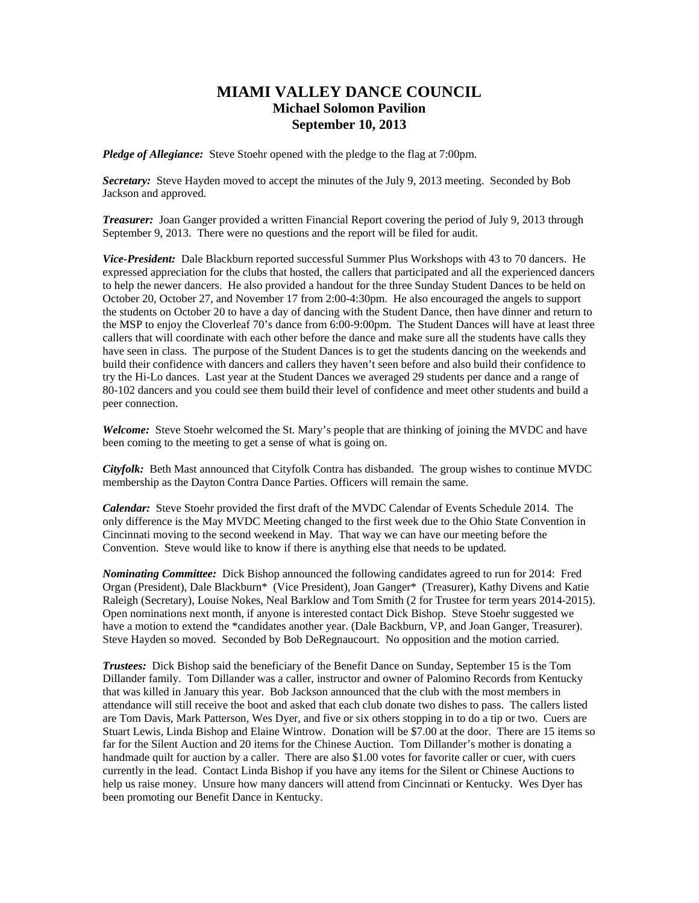# **MIAMI VALLEY DANCE COUNCIL Michael Solomon Pavilion September 10, 2013**

*Pledge of Allegiance:* Steve Stoehr opened with the pledge to the flag at 7:00pm.

*Secretary:* Steve Hayden moved to accept the minutes of the July 9, 2013 meeting. Seconded by Bob Jackson and approved.

*Treasurer:* Joan Ganger provided a written Financial Report covering the period of July 9, 2013 through September 9, 2013. There were no questions and the report will be filed for audit.

*Vice-President:* Dale Blackburn reported successful Summer Plus Workshops with 43 to 70 dancers. He expressed appreciation for the clubs that hosted, the callers that participated and all the experienced dancers to help the newer dancers. He also provided a handout for the three Sunday Student Dances to be held on October 20, October 27, and November 17 from 2:00-4:30pm. He also encouraged the angels to support the students on October 20 to have a day of dancing with the Student Dance, then have dinner and return to the MSP to enjoy the Cloverleaf 70's dance from 6:00-9:00pm. The Student Dances will have at least three callers that will coordinate with each other before the dance and make sure all the students have calls they have seen in class. The purpose of the Student Dances is to get the students dancing on the weekends and build their confidence with dancers and callers they haven't seen before and also build their confidence to try the Hi-Lo dances. Last year at the Student Dances we averaged 29 students per dance and a range of 80-102 dancers and you could see them build their level of confidence and meet other students and build a peer connection.

*Welcome:* Steve Stoehr welcomed the St. Mary's people that are thinking of joining the MVDC and have been coming to the meeting to get a sense of what is going on.

*Cityfolk:* Beth Mast announced that Cityfolk Contra has disbanded. The group wishes to continue MVDC membership as the Dayton Contra Dance Parties. Officers will remain the same.

*Calendar:* Steve Stoehr provided the first draft of the MVDC Calendar of Events Schedule 2014. The only difference is the May MVDC Meeting changed to the first week due to the Ohio State Convention in Cincinnati moving to the second weekend in May. That way we can have our meeting before the Convention. Steve would like to know if there is anything else that needs to be updated.

*Nominating Committee:* Dick Bishop announced the following candidates agreed to run for 2014: Fred Organ (President), Dale Blackburn\* (Vice President), Joan Ganger\* (Treasurer), Kathy Divens and Katie Raleigh (Secretary), Louise Nokes, Neal Barklow and Tom Smith (2 for Trustee for term years 2014-2015). Open nominations next month, if anyone is interested contact Dick Bishop. Steve Stoehr suggested we have a motion to extend the \*candidates another year. (Dale Backburn, VP, and Joan Ganger, Treasurer). Steve Hayden so moved. Seconded by Bob DeRegnaucourt. No opposition and the motion carried.

*Trustees:* Dick Bishop said the beneficiary of the Benefit Dance on Sunday, September 15 is the Tom Dillander family. Tom Dillander was a caller, instructor and owner of Palomino Records from Kentucky that was killed in January this year. Bob Jackson announced that the club with the most members in attendance will still receive the boot and asked that each club donate two dishes to pass. The callers listed are Tom Davis, Mark Patterson, Wes Dyer, and five or six others stopping in to do a tip or two. Cuers are Stuart Lewis, Linda Bishop and Elaine Wintrow. Donation will be \$7.00 at the door. There are 15 items so far for the Silent Auction and 20 items for the Chinese Auction. Tom Dillander's mother is donating a handmade quilt for auction by a caller. There are also \$1.00 votes for favorite caller or cuer, with cuers currently in the lead. Contact Linda Bishop if you have any items for the Silent or Chinese Auctions to help us raise money. Unsure how many dancers will attend from Cincinnati or Kentucky. Wes Dyer has been promoting our Benefit Dance in Kentucky.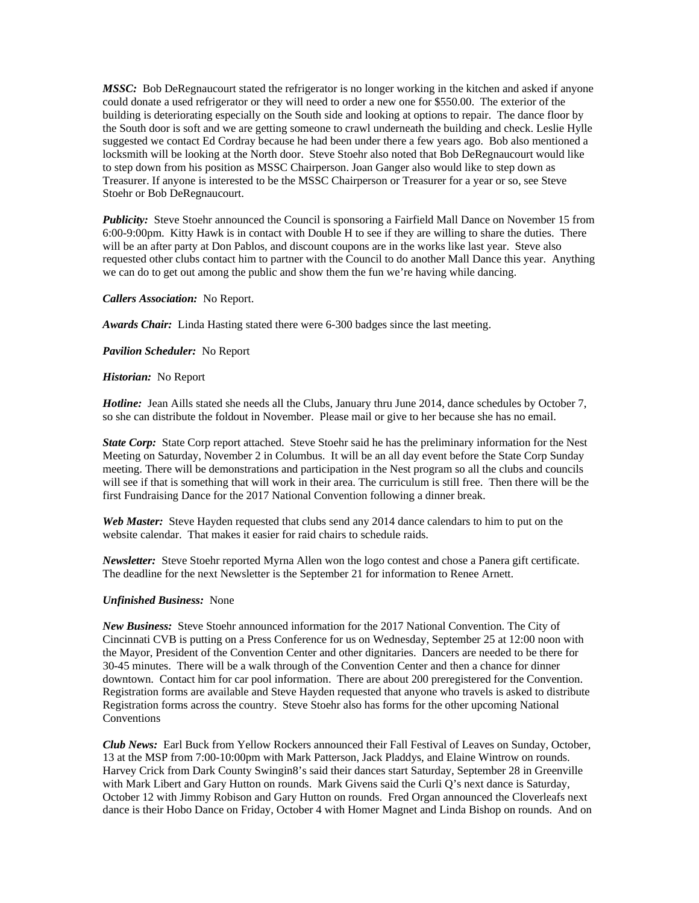*MSSC:* Bob DeRegnaucourt stated the refrigerator is no longer working in the kitchen and asked if anyone could donate a used refrigerator or they will need to order a new one for \$550.00. The exterior of the building is deteriorating especially on the South side and looking at options to repair. The dance floor by the South door is soft and we are getting someone to crawl underneath the building and check. Leslie Hylle suggested we contact Ed Cordray because he had been under there a few years ago. Bob also mentioned a locksmith will be looking at the North door. Steve Stoehr also noted that Bob DeRegnaucourt would like to step down from his position as MSSC Chairperson. Joan Ganger also would like to step down as Treasurer. If anyone is interested to be the MSSC Chairperson or Treasurer for a year or so, see Steve Stoehr or Bob DeRegnaucourt.

**Publicity:** Steve Stoehr announced the Council is sponsoring a Fairfield Mall Dance on November 15 from 6:00-9:00pm. Kitty Hawk is in contact with Double H to see if they are willing to share the duties. There will be an after party at Don Pablos, and discount coupons are in the works like last year. Steve also requested other clubs contact him to partner with the Council to do another Mall Dance this year. Anything we can do to get out among the public and show them the fun we're having while dancing.

## *Callers Association:* No Report.

*Awards Chair:* Linda Hasting stated there were 6-300 badges since the last meeting.

### *Pavilion Scheduler:* No Report

### *Historian:* No Report

*Hotline:* Jean Aills stated she needs all the Clubs, January thru June 2014, dance schedules by October 7, so she can distribute the foldout in November. Please mail or give to her because she has no email.

*State Corp:* State Corp report attached. Steve Stoehr said he has the preliminary information for the Nest Meeting on Saturday, November 2 in Columbus. It will be an all day event before the State Corp Sunday meeting. There will be demonstrations and participation in the Nest program so all the clubs and councils will see if that is something that will work in their area. The curriculum is still free. Then there will be the first Fundraising Dance for the 2017 National Convention following a dinner break.

*Web Master:* Steve Hayden requested that clubs send any 2014 dance calendars to him to put on the website calendar. That makes it easier for raid chairs to schedule raids.

*Newsletter:* Steve Stoehr reported Myrna Allen won the logo contest and chose a Panera gift certificate. The deadline for the next Newsletter is the September 21 for information to Renee Arnett.

## *Unfinished Business:* None

*New Business:* Steve Stoehr announced information for the 2017 National Convention. The City of Cincinnati CVB is putting on a Press Conference for us on Wednesday, September 25 at 12:00 noon with the Mayor, President of the Convention Center and other dignitaries. Dancers are needed to be there for 30-45 minutes. There will be a walk through of the Convention Center and then a chance for dinner downtown. Contact him for car pool information. There are about 200 preregistered for the Convention. Registration forms are available and Steve Hayden requested that anyone who travels is asked to distribute Registration forms across the country. Steve Stoehr also has forms for the other upcoming National **Conventions** 

*Club News:* Earl Buck from Yellow Rockers announced their Fall Festival of Leaves on Sunday, October, 13 at the MSP from 7:00-10:00pm with Mark Patterson, Jack Pladdys, and Elaine Wintrow on rounds. Harvey Crick from Dark County Swingin8's said their dances start Saturday, September 28 in Greenville with Mark Libert and Gary Hutton on rounds. Mark Givens said the Curli Q's next dance is Saturday, October 12 with Jimmy Robison and Gary Hutton on rounds. Fred Organ announced the Cloverleafs next dance is their Hobo Dance on Friday, October 4 with Homer Magnet and Linda Bishop on rounds. And on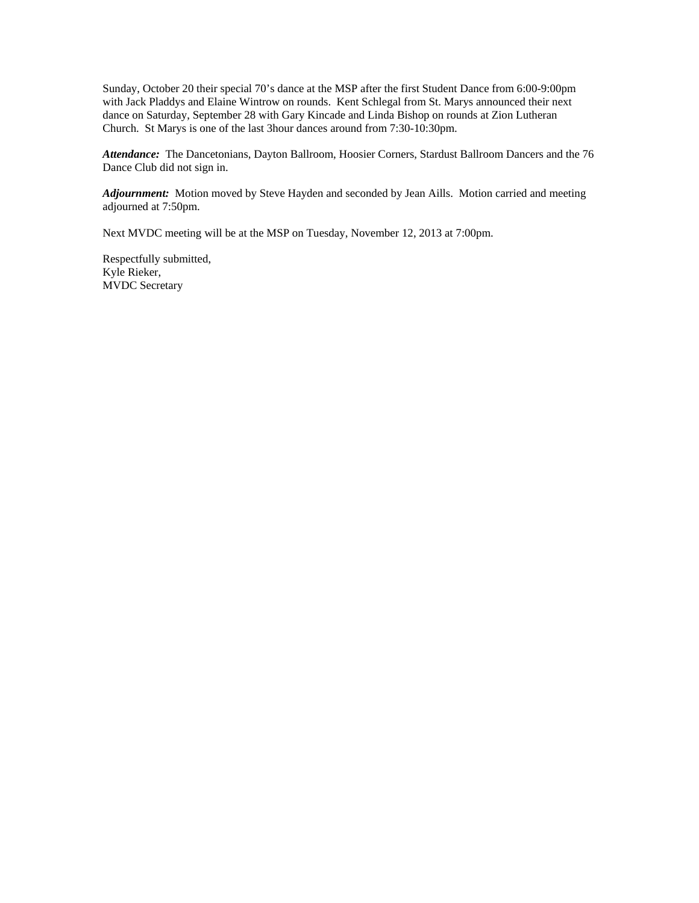Sunday, October 20 their special 70's dance at the MSP after the first Student Dance from 6:00-9:00pm with Jack Pladdys and Elaine Wintrow on rounds. Kent Schlegal from St. Marys announced their next dance on Saturday, September 28 with Gary Kincade and Linda Bishop on rounds at Zion Lutheran Church. St Marys is one of the last 3hour dances around from 7:30-10:30pm.

*Attendance:* The Dancetonians, Dayton Ballroom, Hoosier Corners, Stardust Ballroom Dancers and the 76 Dance Club did not sign in.

*Adjournment:* Motion moved by Steve Hayden and seconded by Jean Aills. Motion carried and meeting adjourned at 7:50pm.

Next MVDC meeting will be at the MSP on Tuesday, November 12, 2013 at 7:00pm.

Respectfully submitted, Kyle Rieker, MVDC Secretary